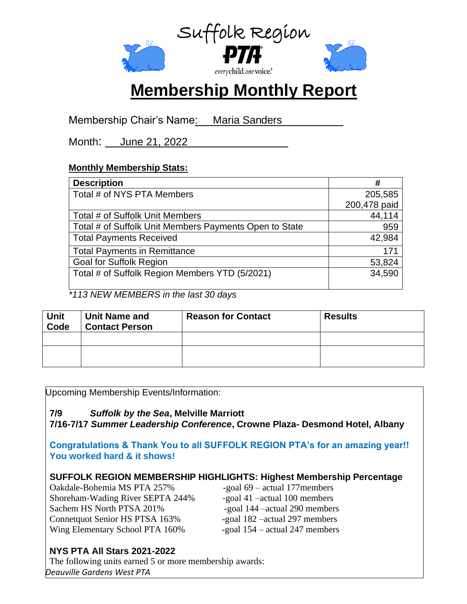

# **Membership Monthly Report**

Membership Chair's Name: Maria Sanders

Month: June 21, 2022

# **Monthly Membership Stats:**

| <b>Description</b>                                     | #            |
|--------------------------------------------------------|--------------|
| Total # of NYS PTA Members                             | 205,585      |
|                                                        | 200,478 paid |
| Total # of Suffolk Unit Members                        | 44,114       |
| Total # of Suffolk Unit Members Payments Open to State | 959          |
| <b>Total Payments Received</b>                         | 42,984       |
| <b>Total Payments in Remittance</b>                    | 171          |
| <b>Goal for Suffolk Region</b>                         | 53,824       |
| Total # of Suffolk Region Members YTD (5/2021)         | 34,590       |

*\*113 NEW MEMBERS in the last 30 days*

| <b>Unit</b><br>Code | <b>Unit Name and</b><br><b>Contact Person</b> | <b>Reason for Contact</b> | <b>Results</b> |
|---------------------|-----------------------------------------------|---------------------------|----------------|
|                     |                                               |                           |                |
|                     |                                               |                           |                |

Upcoming Membership Events/Information:

# **7/9** *Suffolk by the Sea***, Melville Marriott**

**7/16-7/17** *Summer Leadership Conference***, Crowne Plaza- Desmond Hotel, Albany**

**Congratulations & Thank You to all SUFFOLK REGION PTA's for an amazing year!! You worked hard & it shows!**

# **SUFFOLK REGION MEMBERSHIP HIGHLIGHTS: Highest Membership Percentage**

Oakdale-Bohemia MS PTA 257% -goal 69 – actual 177members Shoreham-Wading River SEPTA 244% -goal 41 –actual 100 members Sachem HS North PTSA 201% -goal 144 – actual 290 members Connetquot Senior HS PTSA 163% -goal 182 – actual 297 members Wing Elementary School PTA 160% -goal 154 – actual 247 members

# **NYS PTA All Stars 2021-2022**

The following units earned 5 or more membership awards: *Deauville Gardens West PTA*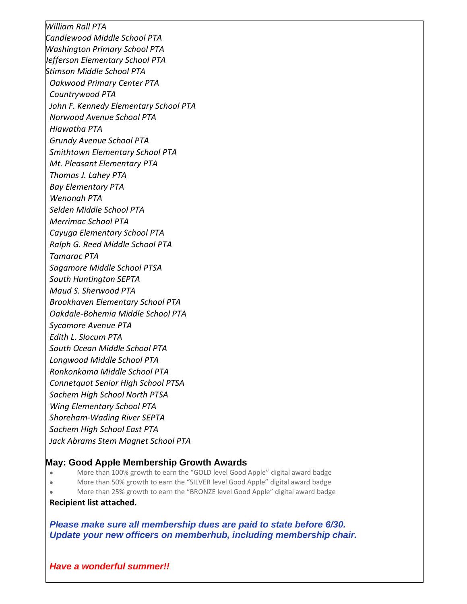*William Rall PTA Candlewood Middle School PTA Washington Primary School PTA Jefferson Elementary School PTA Stimson Middle School PTA Oakwood Primary Center PTA Countrywood PTA John F. Kennedy Elementary School PTA Norwood Avenue School PTA Hiawatha PTA Grundy Avenue School PTA Smithtown Elementary School PTA Mt. Pleasant Elementary PTA Thomas J. Lahey PTA Bay Elementary PTA Wenonah PTA Selden Middle School PTA Merrimac School PTA Cayuga Elementary School PTA Ralph G. Reed Middle School PTA Tamarac PTA Sagamore Middle School PTSA South Huntington SEPTA Maud S. Sherwood PTA Brookhaven Elementary School PTA Oakdale-Bohemia Middle School PTA Sycamore Avenue PTA Edith L. Slocum PTA South Ocean Middle School PTA Longwood Middle School PTA Ronkonkoma Middle School PTA Connetquot Senior High School PTSA Sachem High School North PTSA Wing Elementary School PTA Shoreham-Wading River SEPTA Sachem High School East PTA Jack Abrams Stem Magnet School PTA*

## **May: Good Apple Membership Growth Awards**

- More than 100% growth to earn the "GOLD level Good Apple" digital award badge
- More than 50% growth to earn the "SILVER level Good Apple" digital award badge
- More than 25% growth to earn the "BRONZE level Good Apple" digital award badge

#### **Recipient list attached.**

*Please make sure all membership dues are paid to state before 6/30. Update your new officers on memberhub, including membership chair.*

### *Have a wonderful summer!!*